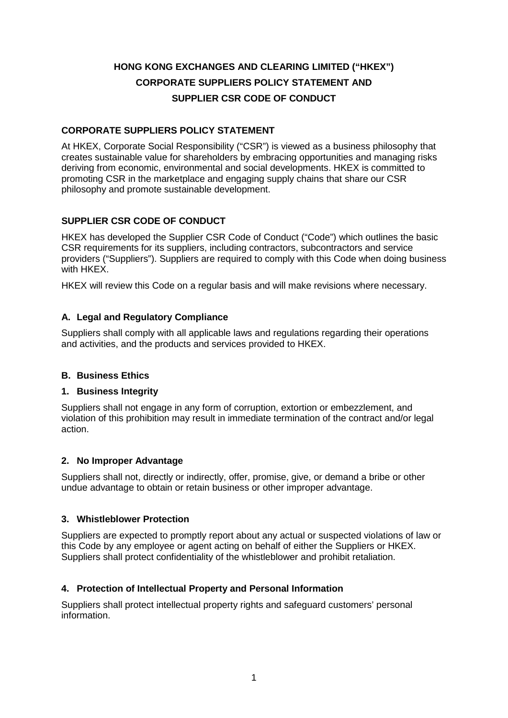# **HONG KONG EXCHANGES AND CLEARING LIMITED ("HKEX") CORPORATE SUPPLIERS POLICY STATEMENT AND SUPPLIER CSR CODE OF CONDUCT**

# **CORPORATE SUPPLIERS POLICY STATEMENT**

At HKEX, Corporate Social Responsibility ("CSR") is viewed as a business philosophy that creates sustainable value for shareholders by embracing opportunities and managing risks deriving from economic, environmental and social developments. HKEX is committed to promoting CSR in the marketplace and engaging supply chains that share our CSR philosophy and promote sustainable development.

# **SUPPLIER CSR CODE OF CONDUCT**

HKEX has developed the Supplier CSR Code of Conduct ("Code") which outlines the basic CSR requirements for its suppliers, including contractors, subcontractors and service providers ("Suppliers"). Suppliers are required to comply with this Code when doing business with HKEX.

HKEX will review this Code on a regular basis and will make revisions where necessary.

# **A. Legal and Regulatory Compliance**

Suppliers shall comply with all applicable laws and regulations regarding their operations and activities, and the products and services provided to HKEX.

## **B. Business Ethics**

## **1. Business Integrity**

Suppliers shall not engage in any form of corruption, extortion or embezzlement, and violation of this prohibition may result in immediate termination of the contract and/or legal action.

## **2. No Improper Advantage**

Suppliers shall not, directly or indirectly, offer, promise, give, or demand a bribe or other undue advantage to obtain or retain business or other improper advantage.

## **3. Whistleblower Protection**

Suppliers are expected to promptly report about any actual or suspected violations of law or this Code by any employee or agent acting on behalf of either the Suppliers or HKEX. Suppliers shall protect confidentiality of the whistleblower and prohibit retaliation.

## **4. Protection of Intellectual Property and Personal Information**

Suppliers shall protect intellectual property rights and safeguard customers' personal information.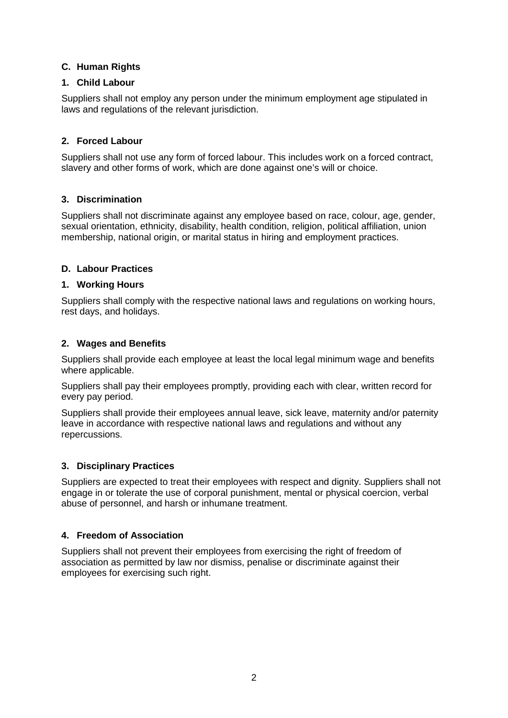# **C. Human Rights**

## **1. Child Labour**

Suppliers shall not employ any person under the minimum employment age stipulated in laws and regulations of the relevant jurisdiction.

# **2. Forced Labour**

Suppliers shall not use any form of forced labour. This includes work on a forced contract, slavery and other forms of work, which are done against one's will or choice.

# **3. Discrimination**

Suppliers shall not discriminate against any employee based on race, colour, age, gender, sexual orientation, ethnicity, disability, health condition, religion, political affiliation, union membership, national origin, or marital status in hiring and employment practices.

# **D. Labour Practices**

## **1. Working Hours**

Suppliers shall comply with the respective national laws and regulations on working hours, rest days, and holidays.

# **2. Wages and Benefits**

Suppliers shall provide each employee at least the local legal minimum wage and benefits where applicable.

Suppliers shall pay their employees promptly, providing each with clear, written record for every pay period.

Suppliers shall provide their employees annual leave, sick leave, maternity and/or paternity leave in accordance with respective national laws and regulations and without any repercussions.

## **3. Disciplinary Practices**

Suppliers are expected to treat their employees with respect and dignity. Suppliers shall not engage in or tolerate the use of corporal punishment, mental or physical coercion, verbal abuse of personnel, and harsh or inhumane treatment.

## **4. Freedom of Association**

Suppliers shall not prevent their employees from exercising the right of freedom of association as permitted by law nor dismiss, penalise or discriminate against their employees for exercising such right.